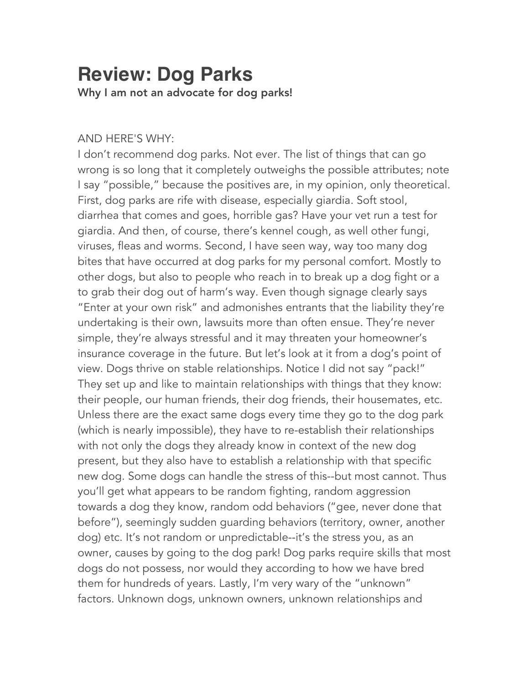## **Review: Dog Parks** Why I am not an advocate for dog parks!

## AND HERE'S WHY:

I don't recommend dog parks. Not ever. The list of things that can go wrong is so long that it completely outweighs the possible attributes; note I say "possible," because the positives are, in my opinion, only theoretical. First, dog parks are rife with disease, especially giardia. Soft stool, diarrhea that comes and goes, horrible gas? Have your vet run a test for giardia. And then, of course, there's kennel cough, as well other fungi, viruses, fleas and worms. Second, I have seen way, way too many dog bites that have occurred at dog parks for my personal comfort. Mostly to other dogs, but also to people who reach in to break up a dog fight or a to grab their dog out of harm's way. Even though signage clearly says "Enter at your own risk" and admonishes entrants that the liability they're undertaking is their own, lawsuits more than often ensue. They're never simple, they're always stressful and it may threaten your homeowner's insurance coverage in the future. But let's look at it from a dog's point of view. Dogs thrive on stable relationships. Notice I did not say "pack!" They set up and like to maintain relationships with things that they know: their people, our human friends, their dog friends, their housemates, etc. Unless there are the exact same dogs every time they go to the dog park (which is nearly impossible), they have to re-establish their relationships with not only the dogs they already know in context of the new dog present, but they also have to establish a relationship with that specific new dog. Some dogs can handle the stress of this--but most cannot. Thus you'll get what appears to be random fighting, random aggression towards a dog they know, random odd behaviors ("gee, never done that before"), seemingly sudden guarding behaviors (territory, owner, another dog) etc. It's not random or unpredictable--it's the stress you, as an owner, causes by going to the dog park! Dog parks require skills that most dogs do not possess, nor would they according to how we have bred them for hundreds of years. Lastly, I'm very wary of the "unknown" factors. Unknown dogs, unknown owners, unknown relationships and